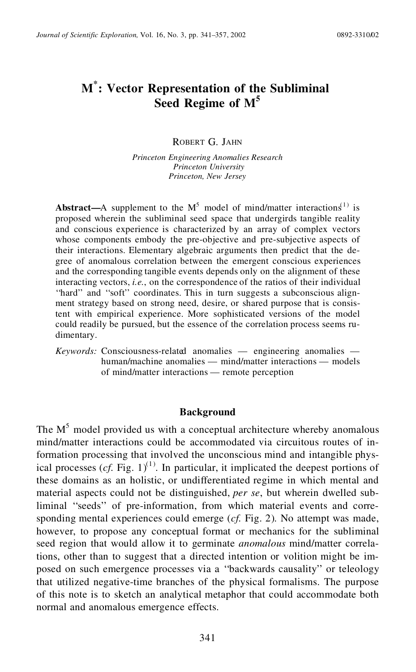# **M\* : Vector Representation of the Subliminal Seed Regime of M<sup>5</sup>**

ROBERT G. JAHN

*Princeton Engineering Anomalies Research Princeton University Princeton, New Jersey*

**Abstract—A** supplement to the  $M^5$  model of mind/matter interactions<sup>(1)</sup> is proposed wherein the subliminal seed space that undergirds tangible reality and conscious experience is characterized by an array of complex vectors whose components embody the pre-objective and pre-subjective aspects of their interactions. Elementary algebraic arguments then predict that the degree of anomalous correlation between the emergent conscious experiences and the corresponding tangible events depends only on the alignment of these interacting vectors, *i.e.*, on the correspondence of the ratios of their individual ''hard'' and ''soft'' coordinates. This in turn suggests a subconscious alignment strategy based on strong need, desire, or shared purpose that is consistent with empirical experience. More sophisticated versions of the model could readily be pursued, but the essence of the correlation process seems ru dimentary.

*Keywords:* Consciousness-related anomalies — engineering anomalies human/machine anomalies — mind/matter interactions — models of mind/matter interactions — remote perception

#### **Background**

The  $M<sup>5</sup>$  model provided us with a conceptual architecture whereby anomalous mind/matter interactions could be accommodated via circuitous routes of information processing that involved the unconscious mind and intangible physical processes  $(cf. Fig. 1)<sup>(1)</sup>$ . In particular, it implicated the deepest portions of these domains as an holistic, or undifferentiated regime in which mental and material aspects could not be distinguished, *per se*, but wherein dwelled subliminal ''seeds'' of pre-information, from which material events and corresponding mental experiences could emerge (*cf.* Fig. 2). No attempt was made, however, to propose any conceptual format or mechanics for the subliminal seed region that would allow it to germinate *anomalous* mind/matter correlations, other than to suggest that a directed intention or volition might be imposed on such emergence processes via a ''backwards causality'' or teleology that utilized negative-time branches of the physical formalisms. The purpose of this note is to sketch an analytical metaphor that could accommodate both normal and anomalous emergence effects.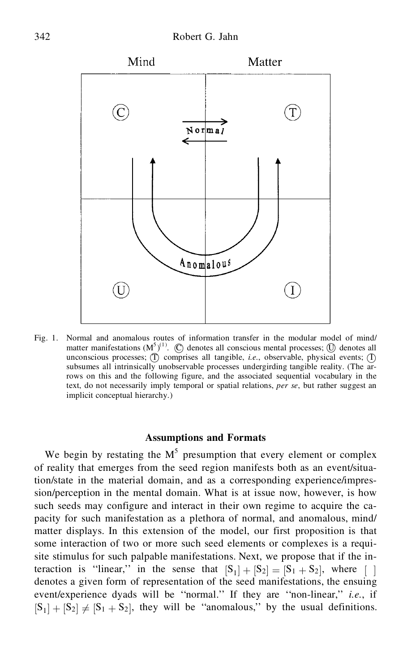

Fig. 1. Normal and anomalous routes of information transfer in the modular model of mind/ matter manifestations  $(M^{5})^{(1)}$ .  $\bigcirc$  denotes all conscious mental processes;  $\bigcirc$  denotes all unconscious processes;  $(\hat{\Gamma})$  comprises all tangible, *i.e.*, observable, physical events;  $(\hat{\Gamma})$ subsumes all intrinsically unobservable processes undergirding tangible reality. (The arrows on this and the following figure, and the associated sequential vocabulary in the text, do not necessarily imply temporal or spatial relations, *per se*, but rather suggest an implicit conceptual hierarchy.)

## **Assumptions and Formats**

We begin by restating the  $M<sup>5</sup>$  presumption that every element or complex of reality that emerges from the seed region manifests both as an event/situation/state in the material domain, and as a corresponding experience/impression/perception in the mental domain. What is at issue now, however, is how such seeds may configure and interact in their own regime to acquire the capacity for such manifestation as a plethora of normal, and anomalous, mind/ matter displays. In this extension of the model, our first proposition is that some interaction of two or more such seed elements or complexes is a requisite stimulus for such palpable manifestations. Next, we propose that if the interaction is "linear," in the sense that  $|S_1| + |S_2| = |S_1 + S_2|$ , where  $\lceil \rceil$ denotes a given form of representation of the seed manifestations, the ensuing event/experience dyads will be ''normal.'' If they are ''non-linear,'' *i.e.*, if  $|S_1| + |S_2| \neq |S_1 + S_2|$ , they will be "anomalous," by the usual definitions.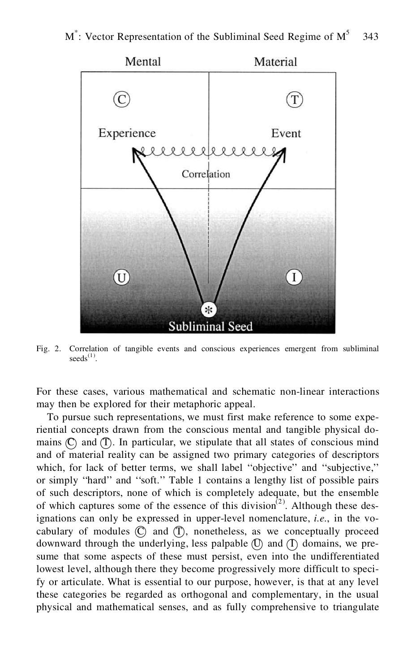

Fig. 2. Correlation of tangible events and conscious experiences emergent from subliminal  $seeds^{(1)}$ .

For these cases, various mathematical and schematic non-linear interactions may then be explored for their metaphoric appeal.

To pursue such representations, we must first make reference to some experiential concepts drawn from the conscious mental and tangible physical domains  $\mathbb{C}$  and  $\mathbb{T}$ . In particular, we stipulate that all states of conscious mind and of material reality can be assigned two primary categories of descriptors which, for lack of better terms, we shall label "objective" and "subjective," or simply ''hard'' and ''soft.'' Table 1 contains a lengthy list of possible pairs of such descriptors, none of which is completely adequate, but the ensemble of which captures some of the essence of this division<sup>(2)</sup>. Although these designations can only be expressed in upper-level nomenclature, *i.e.*, in the vocabulary of modules  $\mathbb{C}$  and  $\mathbb{T}$ , nonetheless, as we conceptually proceed downward through the underlying, less palpable  $(\mathbb{D})$  and  $(\mathbb{D})$  domains, we presume that some aspects of these must persist, even into the undifferentiated lowest level, although there they become progressively more difficult to specify or articulate. What is essential to our purpose, however, is that at any level these categories be regarded as orthogonal and complementary, in the usual physical and mathematical senses, and as fully comprehensive to triangulate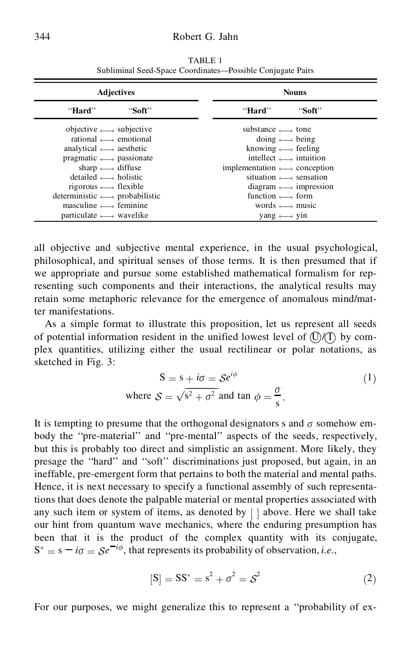| <b>Adjectives</b>                                 |        | <b>Nouns</b>                                    |        |  |
|---------------------------------------------------|--------|-------------------------------------------------|--------|--|
| "Hard"                                            | "Soft" | "Hard"                                          | "Soft" |  |
| objective $\longleftrightarrow$ subjective        |        | substance $\longleftrightarrow$ tone            |        |  |
| rational $\longleftrightarrow$ emotional          |        | doing $\longleftrightarrow$ being               |        |  |
| analytical $\longleftrightarrow$ aesthetic        |        | knowing $\longleftrightarrow$ feeling           |        |  |
| pragmatic $\longleftrightarrow$ passionate        |        | intellect $\longrightarrow$ intuition           |        |  |
| sharp $\longleftrightarrow$ diffuse               |        | implementation $\longleftrightarrow$ conception |        |  |
| $delta \leftrightarrow holistic$                  |        | situation $\longleftrightarrow$ sensation       |        |  |
| rigorous $\longleftrightarrow$ flexible           |        | diagram $\longleftrightarrow$ impression        |        |  |
| deterministic $\longleftrightarrow$ probabilistic |        | function $\longleftrightarrow$ form             |        |  |
| masculine $\longleftrightarrow$ feminine          |        | words $\longleftrightarrow$ music               |        |  |
| particulate $\longleftrightarrow$ wavelike        |        | vang $\longleftrightarrow$ vin                  |        |  |

TABLE 1 Subliminal Seed-Space Coordinates—Possible Conjugate Pairs

all objective and subjective mental experience, in the usual psychological, philosophical, and spiritual senses of those terms. It is then presumed that if we appropriate and pursue some established mathematical formalism for representing such components and their interactions, the analytical results may retain some metaphoric relevance for the emergence of anomalous mind/matter manifestations.

As a simple format to illustrate this proposition, let us represent all seeds of potential information resident in the unified lowest level of  $\mathbb{O}/\mathbb{O}$  by complex quantities, utilizing either the usual rectilinear or polar notations, as sketched in Fig. 3:

$$
S = s + i\sigma = S e^{i\phi}
$$
  
where  $S = \sqrt{s^2 + \sigma^2}$  and tan  $\phi = \frac{\sigma}{s}$ . (1)

It is tempting to presume that the orthogonal designators s and  $\sigma$  somehow embody the ''pre-material'' and ''pre-mental'' aspects of the seeds, respectively, but this is probably too direct and simplistic an assignment. More likely, they presage the ''hard'' and ''soft'' discriminations just proposed, but again, in an ineffable, pre-emergent form that pertains to both the material and mental paths. Hence, it is next necessary to specify a functional assembly of such representations that does denote the palpable material or mental properties associated with any such item or system of items, as denoted by  $\lceil \cdot \rceil$  above. Here we shall take our hint from quantum wave mechanics, where the enduring presumption has been that it is the product of the complex quantity with its conjugate,  $S^* = s - i\sigma = \mathcal{S}e^{-i\phi}$ , that represents its probability of observation, *i.e.*,

$$
[S] = SS^* = s^2 + \sigma^2 = S^2 \tag{2}
$$

For our purposes, we might generalize this to represent a ''probability of ex-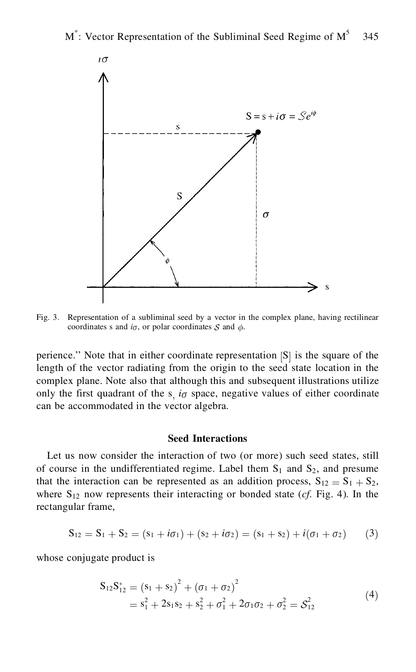

Fig. 3. Representation of a subliminal seed by a vector in the complex plane, having rectilinear coordinates s and  $i_{\sigma}$ , or polar coordinates S and  $\phi$ .

perience." Note that in either coordinate representation  $|S|$  is the square of the length of the vector radiating from the origin to the seed state location in the complex plane. Note also that although this and subsequent illustrations utilize only the first quadrant of the  $s$ ,  $i\sigma$  space, negative values of either coordinate can be accommodated in the vector algebra.

## **Seed Interactions**

Let us now consider the interaction of two (or more) such seed states, still of course in the undifferentiated regime. Label them  $S_1$  and  $S_2$ , and presume that the interaction can be represented as an addition process,  $S_{12} = S_1 + S_2$ , where  $S_{12}$  now represents their interacting or bonded state (*cf.* Fig. 4). In the rectangular frame,

$$
S_{12} = S_1 + S_2 = (s_1 + i\sigma_1) + (s_2 + i\sigma_2) = (s_1 + s_2) + i(\sigma_1 + \sigma_2)
$$
 (3)

whose conjugate product is

$$
S_{12}S_{12}^* = (s_1 + s_2)^2 + (\sigma_1 + \sigma_2)^2
$$
  
=  $s_1^2 + 2s_1s_2 + s_2^2 + \sigma_1^2 + 2\sigma_1\sigma_2 + \sigma_2^2 = S_{12}^2$  (4)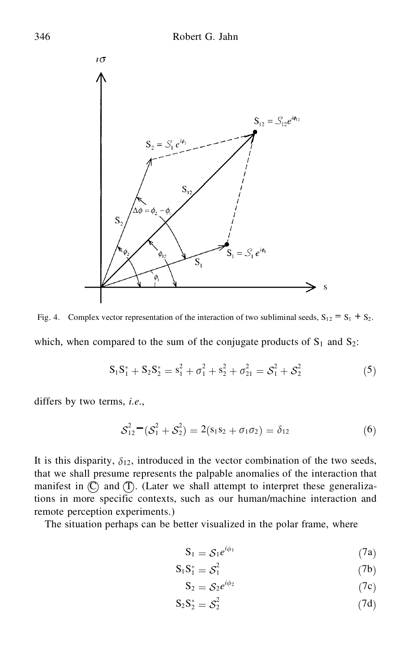

which, when compared to the sum of the conjugate products of  $S_1$  and  $S_2$ : Fig. 4. Complex vector representation of the interaction of two subliminal seeds,  $S_{12} = S_1 + S_2$ .

$$
S_1 S_1^* + S_2 S_2^* = s_1^2 + \sigma_1^2 + s_2^2 + \sigma_{21}^2 = S_1^2 + S_2^2 \tag{5}
$$

differs by two terms, *i.e.*,

$$
S_{12}^2 - (S_1^2 + S_2^2) = 2(s_1s_2 + \sigma_1\sigma_2) = \delta_{12}
$$
 (6)

It is this disparity,  $\delta_{12}$ , introduced in the vector combination of the two seeds, that we shall presume represents the palpable anomalies of the interaction that manifest in  $\mathbb{C}$  and  $\mathbb{T}$ . (Later we shall attempt to interpret these generalizations in more specific contexts, such as our human/machine interaction and remote perception experiments.)

The situation perhaps can be better visualized in the polar frame, where

$$
S_1 = S_1 e^{i\phi_1} \tag{7a}
$$

$$
S_1 S_1^* = S_1^2 \tag{7b}
$$

$$
S_2 = S_2 e^{i\phi_2} \tag{7c}
$$

$$
S_2 S_2^* = S_2^2 \tag{7d}
$$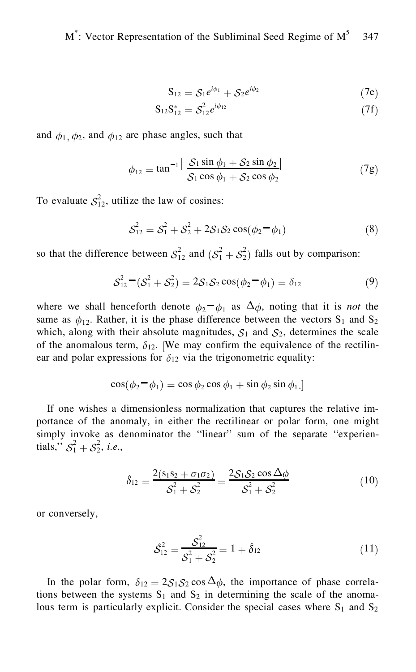$$
S_{12} = S_1 e^{i\phi_1} + S_2 e^{i\phi_2} \tag{7e}
$$

$$
S_{12}S_{12}^* = S_{12}^2 e^{i\phi_{12}} \tag{7f}
$$

and  $\phi_1$ ,  $\phi_2$ , and  $\phi_{12}$  are phase angles, such that

$$
\phi_{12} = \tan^{-1} \left[ \frac{S_1 \sin \phi_1 + S_2 \sin \phi_2}{S_1 \cos \phi_1 + S_2 \cos \phi_2} \right]
$$
(7g)

To evaluate  $S_{12}^2$ , utilize the law of cosines:

$$
S_{12}^2 = S_1^2 + S_2^2 + 2S_1S_2\cos(\phi_2 - \phi_1)
$$
 (8)

so that the difference between  $S_{12}^2$  and  $(S_1^2 + S_2^2)$  falls out by comparison:

$$
S_{12}^2 - (S_1^2 + S_2^2) = 2S_1S_2 \cos(\phi_2 - \phi_1) = \delta_{12}
$$
 (9)

where we shall henceforth denote  $\phi_2 - \phi_1$  as  $\Delta \phi$ , noting that it is *not* the same as  $\phi_{12}$ . Rather, it is the phase difference between the vectors S<sub>1</sub> and S<sub>2</sub> which, along with their absolute magnitudes,  $S_1$  and  $S_2$ , determines the scale of the anomalous term,  $\delta_{12}$ . [We may confirm the equivalence of the rectilinear and polar expressions for  $\delta_{12}$  via the trigonometric equality:

$$
\cos(\phi_2 - \phi_1) = \cos \phi_2 \cos \phi_1 + \sin \phi_2 \sin \phi_1.
$$

If one wishes a dimensionless normalization that captures the relative importance of the anomaly, in either the rectilinear or polar form, one might simply invoke as denominator the "linear" sum of the separate "experientials,"  $S_1^2 + S_2^2$ , *i.e.*,

$$
\hat{\delta}_{12} = \frac{2(s_1 s_2 + \sigma_1 \sigma_2)}{S_1^2 + S_2^2} = \frac{2S_1 S_2 \cos \Delta \phi}{S_1^2 + S_2^2}
$$
(10)

or conversely,

$$
\hat{\mathcal{S}}_{12}^2 = \frac{\hat{\mathcal{S}}_{12}^2}{\hat{\mathcal{S}}_1^2 + \hat{\mathcal{S}}_2^2} = 1 + \hat{\delta}_{12}
$$
 (11)

In the polar form,  $\delta_{12} = 2S_1S_2 \cos \Delta \phi$ , the importance of phase correlations between the systems  $S_1$  and  $S_2$  in determining the scale of the anomalous term is particularly explicit. Consider the special cases where  $S_1$  and  $S_2$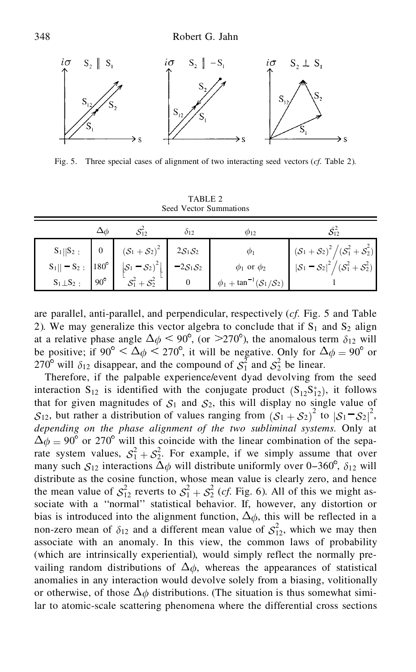

Fig. 5. Three special cases of alignment of two interacting seed vectors (*cf.* Table 2).

| TABLE 2 |                        |  |  |  |  |  |
|---------|------------------------|--|--|--|--|--|
|         | Seed Vector Summations |  |  |  |  |  |

|                               |              |                                              | 012                            | <b>Φ12</b>                     |                                                                           |
|-------------------------------|--------------|----------------------------------------------|--------------------------------|--------------------------------|---------------------------------------------------------------------------|
| $S_1  S_2$ :                  |              | $(S_1 + S_2)^2$                              | $2S_1S_2$                      | $\varphi_1$                    | $(\mathcal{S}_1 + \mathcal{S}_2)^2 / (\mathcal{S}_1^2 + \mathcal{S}_2^2)$ |
| $S_1   - S_2$ : $ 180^\circ $ |              | $\left \mathcal{S}_1-\mathcal{S}_2\right ^2$ | $-2\mathcal{S}_1\mathcal{S}_2$ | $\phi_1$ or $\phi_2$           | $ \mathcal{S}_1 - \mathcal{S}_2 ^2 / (\mathcal{S}_1^2 + \mathcal{S}_2^2)$ |
| $S_1 \perp S_2$ :             | $90^{\circ}$ |                                              |                                | $\phi_1 + \tan^{-1} (S_1/S_2)$ |                                                                           |

are parallel, anti-parallel, and perpendicular, respectively (*cf.* Fig. 5 and Table 2). We may generalize this vector algebra to conclude that if  $S_1$  and  $S_2$  align at a relative phase angle  $\Delta \phi \le 90^\circ$ , (or  $\ge 270^\circ$ ), the anomalous term  $\delta_{12}$  will be positive; if  $90^{\circ} < \Delta \phi < 270^{\circ}$ , it will be negative. Only for  $\Delta \phi = 90^{\circ}$  or 270<sup>o</sup> will  $\delta_{12}$  disappear, and the compound of  $S_1^2$  and  $S_2^2$  be linear.

Therefore, if the palpable experience/event dyad devolving from the seed interaction  $S_{12}$  is identified with the conjugate product  $(S_{12}S_{12}^*)$ , it follows that for given magnitudes of  $S_1$  and  $S_2$ , this will display no single value of  $S_{12}$ , but rather a distribution of values ranging from  $(S_1 + S_2)^2$  to  $|S_1 - S_2|^2$ , *depending on the phase alignment of the two subliminal systems*. Only at  $\Delta \phi = 90^{\circ}$  or 270° will this coincide with the linear combination of the separate system values,  $S_1^2 + S_2^2$ . For example, if we simply assume that over many such  $S_{12}$  interactions  $\Delta_{\phi}$  will distribute uniformly over 0-360<sup>°</sup>,  $\delta_{12}$  will distribute as the cosine function, whose mean value is clearly zero, and hence the mean value of  $S_{12}^2$  reverts to  $S_1^2 + S_2^2$  (*cf.* Fig. 6). All of this we might associate with a ''normal'' statistical behavior. If, however, any distortion or bias is introduced into the alignment function,  $\Delta \phi$ , this will be reflected in a non-zero mean of  $\delta_{12}$  and a different mean value of  $S_{12}^2$ , which we may then associate with an anomaly. In this view, the common laws of probability (which are intrinsically experiential), would simply reflect the normally prevailing random distributions of  $\Delta \phi$ , whereas the appearances of statistical anomalies in any interaction would devolve solely from a biasing, volitionally or otherwise, of those  $\Delta_{\phi}$  distributions. (The situation is thus somewhat similar to atomic-scale scattering phenomena where the differential cross sections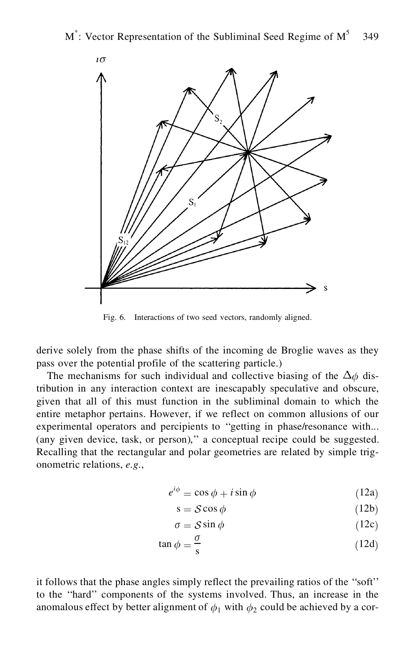

Fig. 6. Interactions of two seed vectors, randomly aligned.

derive solely from the phase shifts of the incoming de Broglie waves as they pass over the potential profile of the scattering particle.)

The mechanisms for such individual and collective biasing of the  $\Delta_{\phi}$  distribution in any interaction context are inescapably speculative and obscure, given that all of this must function in the subliminal domain to which the entire metaphor pertains. However, if we reflect on common allusions of our experimental operators and percipients to ''getting in phase/resonance with... (any given device, task, or person),'' a conceptual recipe could be suggested. Recalling that the rectangular and polar geometries are related by simple trigonometric relations, *e.g.*,

$$
e^{i\phi} = \cos\phi + i\sin\phi \tag{12a}
$$

$$
s = S\cos\phi \tag{12b}
$$

$$
\sigma = \mathcal{S}\sin\phi\tag{12c}
$$

$$
\tan \phi = \frac{\sigma}{s} \tag{12d}
$$

it follows that the phase angles simply reflect the prevailing ratios of the ''soft'' to the ''hard'' components of the systems involved. Thus, an increase in the anomalous effect by better alignment of  $\phi_1$  with  $\phi_2$  could be achieved by a cor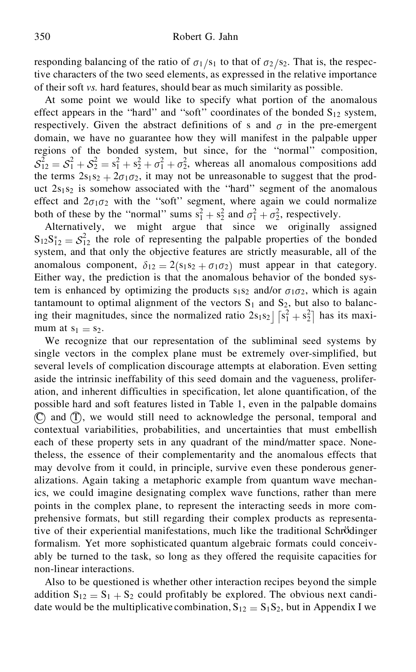responding balancing of the ratio of  $\sigma_1/s_1$  to that of  $\sigma_2/s_2$ . That is, the respective characters of the two seed elements, as expressed in the relative importance of their soft *vs.* hard features, should bear as much similarity as possible.

At some point we would like to specify what portion of the anomalous effect appears in the "hard" and "soft" coordinates of the bonded  $S_{12}$  system, respectively. Given the abstract definitions of s and  $\sigma$  in the pre-emergent domain, we have no guarantee how they will manifest in the palpable upper regions of the bonded system, but since, for the ''normal'' composition,  $S_{12}^2 = S_1^2 + S_2^2 + S_1^2 + \sigma_1^2 + \sigma_2^2$ , whereas all anomalous compositions add the terms  $2s_1s_2 + 2\sigma_1\sigma_2$ , it may not be unreasonable to suggest that the product  $2s_1s_2$  is somehow associated with the "hard" segment of the anomalous effect and  $2\sigma_1\sigma_2$  with the "soft" segment, where again we could normalize both of these by the "normal" sums  $s_1^2 + s_2^2$  and  $\sigma_1^2 + \sigma_2^2$ , respectively.

Alternatively, we might argue that since we originally assigned  $S_{12}S_{12}^* = S_{12}^2$  the role of representing the palpable properties of the bonded system, and that only the objective features are strictly measurable, all of the anomalous component,  $\delta_{12} = 2(s_1s_2 + \sigma_1\sigma_2)$  must appear in that category. Either way, the prediction is that the anomalous behavior of the bonded system is enhanced by optimizing the products  $s_1s_2$  and/or  $\sigma_1\sigma_2$ , which is again tantamount to optimal alignment of the vectors  $S_1$  and  $S_2$ , but also to balancing their magnitudes, since the normalized ratio  $2s_1s_2 \int [s_1^2 + s_2^2]$  has its maximum at  $s_1 = s_2$ .<br>We recognize that our representation of the subliminal seed systems by

single vectors in the complex plane must be extremely over-simplified, but several levels of complication discourage attempts at elaboration. Even setting aside the intrinsic ineffability of this seed domain and the vagueness, proliferation, and inherent difficulties in specification, let alone quantification, of the possible hard and soft features listed in Table 1, even in the palpable domains  $(\mathbb{C})$  and  $(\mathbb{T})$ , we would still need to acknowledge the personal, temporal and contextual variabilities, probabilities, and uncertainties that must embellish each of these property sets in any quadrant of the mind/matter space. Nonetheless, the essence of their complementarity and the anomalous effects that may devolve from it could, in principle, survive even these ponderous generalizations. Again taking a metaphoric example from quantum wave mechanics, we could imagine designating complex wave functions, rather than mere points in the complex plane, to represent the interacting seeds in more comprehensive formats, but still regarding their complex products as representative of their experiential manifestations, much like the traditional Schrödinger formalism. Yet more sophisticated quantum algebraic formats could conceivably be turned to the task, so long as they offered the requisite capacities for non-linear interactions.

Also to be questioned is whether other interaction recipes beyond the simple addition  $S_{12} = S_1 + S_2$  could profitably be explored. The obvious next candidate would be the multiplicative combination,  $S_{12} = S_1S_2$ , but in Appendix I we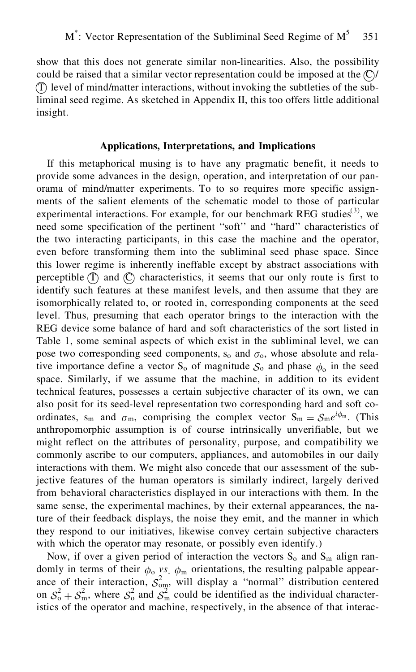show that this does not generate similar non-linearities. Also, the possibility could be raised that a similar vector representation could be imposed at the  $\mathbb{C}$  /  $(\hat{\Gamma})$  level of mind/matter interactions, without invoking the subtleties of the subliminal seed regime. As sketched in Appendix II, this too offers little additional insight.

## **Applications, Interpretations, and Implications**

If this metaphorical musing is to have any pragmatic benefit, it needs to provide some advances in the design, operation, and interpretation of our panorama of mind/matter experiments. To to so requires more specific assignments of the salient elements of the schematic model to those of particular experimental interactions. For example, for our benchmark REG studies $^{(3)}$ , we need some specification of the pertinent ''soft'' and ''hard'' characteristics of the two interacting participants, in this case the machine and the operator, even before transforming them into the subliminal seed phase space. Since this lower regime is inherently ineffable except by abstract associations with perceptible  $(T)$  and  $(C)$  characteristics, it seems that our only route is first to identify such features at these manifest levels, and then assume that they are isomorphically related to, or rooted in, corresponding components at the seed level. Thus, presuming that each operator brings to the interaction with the REG device some balance of hard and soft characteristics of the sort listed in Table 1, some seminal aspects of which exist in the subliminal level, we can pose two corresponding seed components,  $s_0$  and  $\sigma_0$ , whose absolute and relative importance define a vector  $S_0$  of magnitude  $S_0$  and phase  $\phi_0$  in the seed space. Similarly, if we assume that the machine, in addition to its evident technical features, possesses a certain subjective character of its own, we can also posit for its seed-level representation two corresponding hard and soft coordinates, s<sub>m</sub> and  $\sigma_m$ , comprising the complex vector  $S_m = S_m e^{i\phi_m}$ . (This anthropomorphic assumption is of course intrinsically unverifiable, but we might reflect on the attributes of personality, purpose, and compatibility we commonly ascribe to our computers, appliances, and automobiles in our daily interactions with them. We might also concede that our assessment of the subjective features of the human operators is similarly indirect, largely derived from behavioral characteristics displayed in our interactions with them. In the same sense, the experimental machines, by their external appearances, the nature of their feedback displays, the noise they emit, and the manner in which they respond to our initiatives, likewise convey certain subjective characters with which the operator may resonate, or possibly even identify.)

Now, if over a given period of interaction the vectors  $S_0$  and  $S_m$  align randomly in terms of their  $\phi_0$  *vs*.  $\phi_m$  orientations, the resulting palpable appearance of their interaction,  $S_{\text{om}}^2$ , will display a "normal" distribution centered on  $S_0^2 + S_m^2$ , where  $S_0^2$  and  $S_m^2$  could be identified as the individual characteristics of the operator and machine, respectively, in the absence of that interac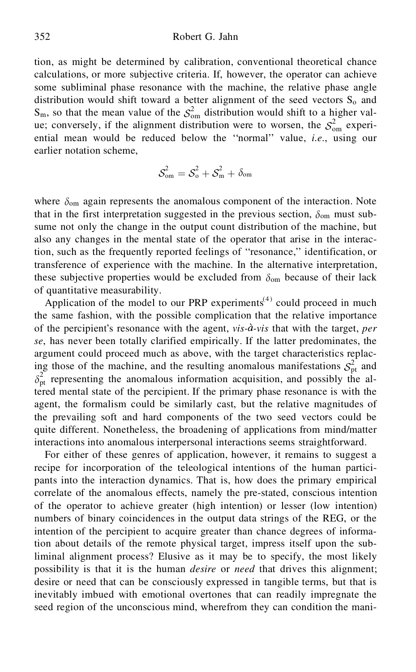tion, as might be determined by calibration, conventional theoretical chance calculations, or more subjective criteria. If, however, the operator can achieve some subliminal phase resonance with the machine, the relative phase angle distribution would shift toward a better alignment of the seed vectors  $S_0$  and  $S_m$ , so that the mean value of the  $S_{\text{om}}^2$  distribution would shift to a higher value; conversely, if the alignment distribution were to worsen, the  $S_{\text{om}}^2$  experiential mean would be reduced below the ''normal'' value, *i.e.*, using our earlier notation scheme,

$$
\mathcal{S}_{\text{om}}^2 = \mathcal{S}_{\text{o}}^2 + \mathcal{S}_{\text{m}}^2 + \delta_{\text{om}}
$$

where  $\delta_{\text{om}}$  again represents the anomalous component of the interaction. Note that in the first interpretation suggested in the previous section,  $\delta_{\rm om}$  must subsume not only the change in the output count distribution of the machine, but also any changes in the mental state of the operator that arise in the interaction, such as the frequently reported feelings of ''resonance,'' identification, or transference of experience with the machine. In the alternative interpretation, these subjective properties would be excluded from  $\delta_{\rm om}$  because of their lack of quantitative measurability.

Application of the model to our PRP experiments<sup> $(4)$ </sup> could proceed in much the same fashion, with the possible complication that the relative importance of the percipient's resonance with the agent, *vis- -vis* that with the target, *per se*, has never been totally clarified empirically. If the latter predominates, the argument could proceed much as above, with the target characteristics replacing those of the machine, and the resulting anomalous manifestations  $S_{\text{pt}}^2$  and  $\delta_{pt}^2$  representing the anomalous information acquisition, and possibly the altered mental state of the percipient. If the primary phase resonance is with the agent, the formalism could be similarly cast, but the relative magnitudes of the prevailing soft and hard components of the two seed vectors could be quite different. Nonetheless, the broadening of applications from mind/matter interactions into anomalous interpersonal interactions seems straightforward.

For either of these genres of application, however, it remains to suggest a recipe for incorporation of the teleological intentions of the human participants into the interaction dynamics. That is, how does the primary empirical correlate of the anomalous effects, namely the pre-stated, conscious intention of the operator to achieve greater (high intention) or lesser (low intention) numbers of binary coincidences in the output data strings of the REG, or the intention of the percipient to acquire greater than chance degrees of information about details of the remote physical target, impress itself upon the subliminal alignment process? Elusive as it may be to specify, the most likely possibility is that it is the human *desire* or *need* that drives this alignment; desire or need that can be consciously expressed in tangible terms, but that is inevitably imbued with emotional overtones that can readily impregnate the seed region of the unconscious mind, wherefrom they can condition the mani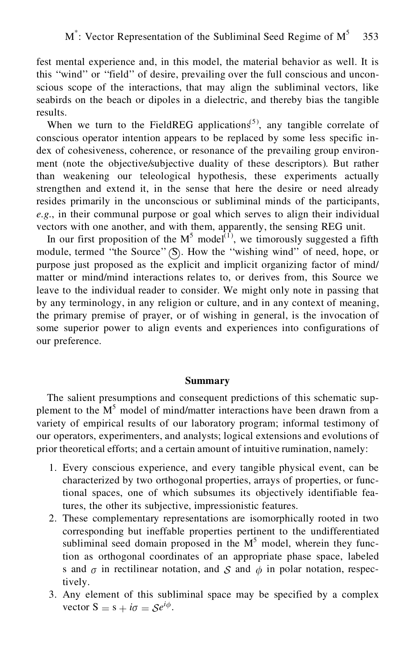fest mental experience and, in this model, the material behavior as well. It is this ''wind'' or ''field'' of desire, prevailing over the full conscious and unconscious scope of the interactions, that may align the subliminal vectors, like seabirds on the beach or dipoles in a dielectric, and thereby bias the tangible results.

When we turn to the FieldREG applications<sup> $(5)$ </sup>, any tangible correlate of conscious operator intention appears to be replaced by some less specific index of cohesiveness, coherence, or resonance of the prevailing group environment (note the objective/subjective duality of these descriptors). But rather than weakening our teleological hypothesis, these experiments actually strengthen and extend it, in the sense that here the desire or need already resides primarily in the unconscious or subliminal minds of the participants, *e.g.*, in their communal purpose or goal which serves to align their individual vectors with one another, and with them, apparently, the sensing REG unit.

In our first proposition of the  $M^5$  model<sup>(1)</sup>, we timorously suggested a fifth module, termed "the Source" (S). How the "wishing wind" of need, hope, or purpose just proposed as the explicit and implicit organizing factor of mind/ matter or mind/mind interactions relates to, or derives from, this Source we leave to the individual reader to consider. We might only note in passing that by any terminology, in any religion or culture, and in any context of meaning, the primary premise of prayer, or of wishing in general, is the invocation of some superior power to align events and experiences into configurations of our preference.

#### **Summary**

The salient presumptions and consequent predictions of this schematic supplement to the M<sup>5</sup> model of mind/matter interactions have been drawn from a variety of empirical results of our laboratory program; informal testimony of our operators, experimenters, and analysts; logical extensions and evolutions of prior theoretical efforts; and a certain amount of intuitive rumination, namely:

- 1. Every conscious experience, and every tangible physical event, can be characterized by two orthogonal properties, arrays of properties, or functional spaces, one of which subsumes its objectively identifiable features, the other its subjective, impressionistic features.
- 2. These complementary representations are isomorphically rooted in two corresponding but ineffable properties pertinent to the undifferentiated subliminal seed domain proposed in the  $M<sup>5</sup>$  model, wherein they function as orthogonal coordinates of an appropriate phase space, labeled s and  $\sigma$  in rectilinear notation, and S and  $\phi$  in polar notation, respectively.
- 3. Any element of this subliminal space may be specified by a complex vector  $S = s + i\sigma = \mathcal{S}e^{i\phi}$ .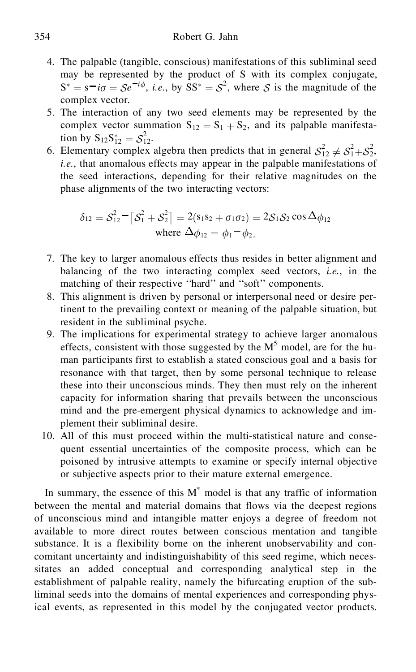- 4. The palpable (tangible, conscious) manifestations of this subliminal seed may be represented by the product of S with its complex conjugate,  $S^* = s^- i\sigma = \mathcal{S}e^{-i\phi}$ , *i.e.*, by  $SS^* = \mathcal{S}^2$ , where  $\mathcal{S}$  is the magnitude of the complex vector.
- 5. The interaction of any two seed elements may be represented by the complex vector summation  $S_{12} = S_1 + S_2$ , and its palpable manifestation by  $S_{12}S_{12}^* = S_{12}^2$ .
- 6. Elementary complex algebra then predicts that in general  $S_{12}^2 \neq S_1^2 + S_2^2$ , *i.e.*, that anomalous effects may appear in the palpable manifestations of the seed interactions, depending for their relative magnitudes on the phase alignments of the two interacting vectors:

$$
\delta_{12} = S_{12}^2 - [S_1^2 + S_2^2] = 2(s_1s_2 + \sigma_1\sigma_2) = 2S_1S_2 \cos \Delta \phi_{12}
$$
  
where  $\Delta \phi_{12} = \phi_1 - \phi_2$ .

- 7. The key to larger anomalous effects thus resides in better alignment and balancing of the two interacting complex seed vectors, *i.e.*, in the matching of their respective "hard" and "soft" components.
- 8. This alignment is driven by personal or interpersonal need or desire pertinent to the prevailing context or meaning of the palpable situation, but resident in the subliminal psyche.
- 9. The implications for experimental strategy to achieve larger anomalous effects, consistent with those suggested by the  $M<sup>5</sup>$  model, are for the human participants first to establish a stated conscious goal and a basis for resonance with that target, then by some personal technique to release these into their unconscious minds. They then must rely on the inherent capacity for information sharing that prevails between the unconscious mind and the pre-emergent physical dynamics to acknowledge and implement their subliminal desire.
- 10. All of this must proceed within the multi-statistical nature and consequent essential uncertainties of the composite process, which can be poisoned by intrusive attempts to examine or specify internal objective or subjective aspects prior to their mature external emergence.

In summary, the essence of this  $M^*$  model is that any traffic of information between the mental and material domains that flows via the deepest regions of unconscious mind and intangible matter enjoys a degree of freedom not available to more direct routes between conscious mentation and tangible substance. It is a flexibility borne on the inherent unobservability and concomitant uncertainty and indistinguishability of this seed regime, which necessitates an added conceptual and corresponding analytical step in the establishment of palpable reality, namely the bifurcating eruption of the subliminal seeds into the domains of mental experiences and corresponding physical events, as represented in this model by the conjugated vector products.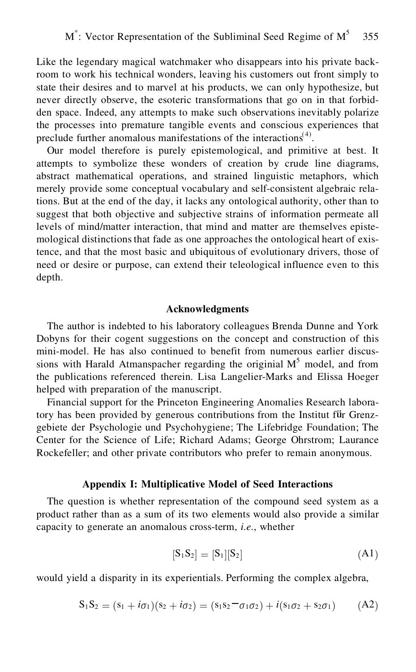Like the legendary magical watchmaker who disappears into his private backroom to work his technical wonders, leaving his customers out front simply to state their desires and to marvel at his products, we can only hypothesize, but never directly observe, the esoteric transformations that go on in that forbidden space. Indeed, any attempts to make such observations inevitably polarize the processes into premature tangible events and conscious experiences that preclude further anomalous manifestations of the interactions<sup> $(4)$ </sup>.

Our model therefore is purely epistemological, and primitive at best. It attempts to symbolize these wonders of creation by crude line diagrams, abstract mathematical operations, and strained linguistic metaphors, which merely provide some conceptual vocabulary and self-consistent algebraic relations. But at the end of the day, it lacks any ontological authority, other than to suggest that both objective and subjective strains of information permeate all levels of mind/matter interaction, that mind and matter are themselves epistemological distinctions that fade as one approaches the ontological heart of existence, and that the most basic and ubiquitous of evolutionary drivers, those of need or desire or purpose, can extend their teleological influence even to this depth.

#### **Acknowledgments**

The author is indebted to his laboratory colleagues Brenda Dunne and York Dobyns for their cogent suggestions on the concept and construction of this mini-model. He has also continued to benefit from numerous earlier discussions with Harald Atmanspacher regarding the originial  $M<sup>5</sup>$  model, and from the publications referenced therein. Lisa Langelier-Marks and Elissa Hoeger helped with preparation of the manuscript.

Financial support for the Princeton Engineering Anomalies Research laboratory has been provided by generous contributions from the Institut für Grenzgebiete der Psychologie und Psychohygiene; The Lifebridge Foundation; The Center for the Science of Life; Richard Adams; George Ohrstrom; Laurance Rockefeller; and other private contributors who prefer to remain anonymous.

#### **Appendix I: Multiplicative Model of Seed Interactions**

The question is whether representation of the compound seed system as a product rather than as a sum of its two elements would also provide a similar capacity to generate an anomalous cross-term, *i.e.*, whether

$$
[S_1S_2] = [S_1][S_2] \tag{A1}
$$

would yield a disparity in its experientials. Performing the complex algebra,

$$
S_1S_2 = (s_1 + i\sigma_1)(s_2 + i\sigma_2) = (s_1s_2 - \sigma_1\sigma_2) + i(s_1\sigma_2 + s_2\sigma_1) \qquad (A2)
$$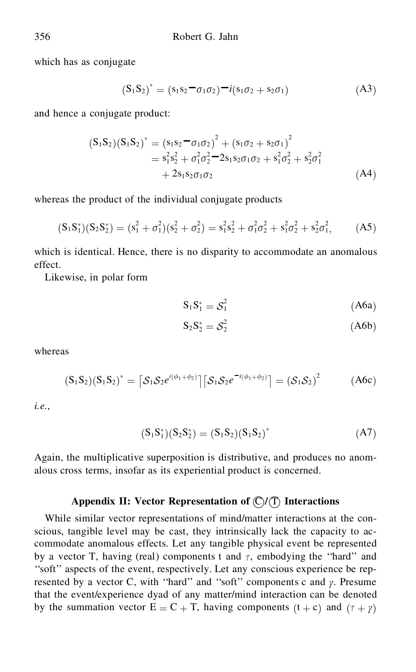which has as conjugate

$$
(S_1 S_2)^* = (s_1 s_2 - \sigma_1 \sigma_2) - i(s_1 \sigma_2 + s_2 \sigma_1)
$$
 (A3)

and hence a conjugate product:

$$
(S_1S_2)(S_1S_2)^* = (s_1s_2 - \sigma_1\sigma_2)^2 + (s_1\sigma_2 + s_2\sigma_1)^2
$$
  
=  $s_1^2s_2^2 + \sigma_1^2\sigma_2^2 - 2s_1s_2\sigma_1\sigma_2 + s_1^2\sigma_2^2 + s_2^2\sigma_1^2$   
+  $2s_1s_2\sigma_1\sigma_2$  (A4)

whereas the product of the individual conjugate products

$$
(S_1S_1^*)(S_2S_2^*) = (s_1^2 + \sigma_1^2)(s_2^2 + \sigma_2^2) = s_1^2s_2^2 + \sigma_1^2\sigma_2^2 + s_1^2\sigma_2^2 + s_2^2\sigma_1^2,\tag{A5}
$$

which is identical. Hence, there is no disparity to accommodate an anomalous effect.

Likewise, in polar form

$$
S_1 S_1^* = S_1^2 \tag{A6a}
$$

$$
S_2 S_2^* = S_2^2 \tag{A6b}
$$

whereas

$$
(S_1S_2)(S_1S_2)^* = \left[S_1S_2e^{i(\phi_1+\phi_2)}\right]\left[S_1S_2e^{-i(\phi_1+\phi_2)}\right] = \left(S_1S_2\right)^2\tag{A6c}
$$

*i.e.*,

$$
(S_1S_1^*)(S_2S_2^*) = (S_1S_2)(S_1S_2)^* \tag{A7}
$$

Again, the multiplicative superposition is distributive, and produces no anomalous cross terms, insofar as its experiential product is concerned.

## Appendix II: Vector Representation of  $\mathbb{C}/\mathbb{T}$  Interactions

While similar vector representations of mind/matter interactions at the conscious, tangible level may be cast, they intrinsically lack the capacity to accommodate anomalous effects. Let any tangible physical event be represented by a vector T, having (real) components t and  $\tau$ , embodying the "hard" and ''soft'' aspects of the event, respectively. Let any conscious experience be represented by a vector C, with "hard" and "soft" components c and  $\gamma$ . Presume that the event/experience dyad of any matter/mind interaction can be denoted by the summation vector  $E = C + T$ , having components  $(t + c)$  and  $(\tau + \gamma)$